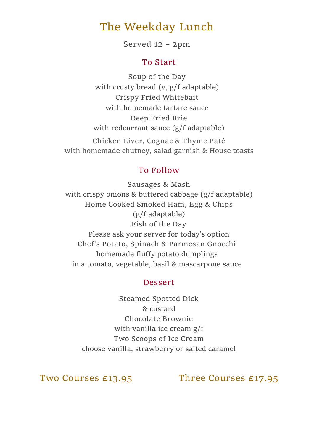## **The Weekday Lunch**

**Served 12 – 2pm**

### **To Start**

**Soup of the Day** with crusty bread (v, g/f adaptable) **Crispy Fried Whitebait** with homemade tartare sauce **Deep Fried Brie** with redcurrant sauce (g/f adaptable)

**Chicken Liver, Cognac & Thyme Paté** with homemade chutney, salad garnish & House toasts

### **To Follow**

**Sausages & Mash** with crispy onions & buttered cabbage (g/f adaptable) **Home Cooked Smoked Ham, Egg & Chips** (g/f adaptable) **Fish of the Day** Please ask your server for today's option **Chef's Potato, Spinach & Parmesan Gnocchi**  homemade fluffy potato dumplings in a tomato, vegetable, basil & mascarpone sauce

### **Dessert**

**Steamed Spotted Dick**  & custard **Chocolate Brownie**  with vanilla ice cream g/f **Two Scoops of Ice Cream**  choose vanilla, strawberry or salted caramel

**Two Courses £13.95 Three Courses £17.95**